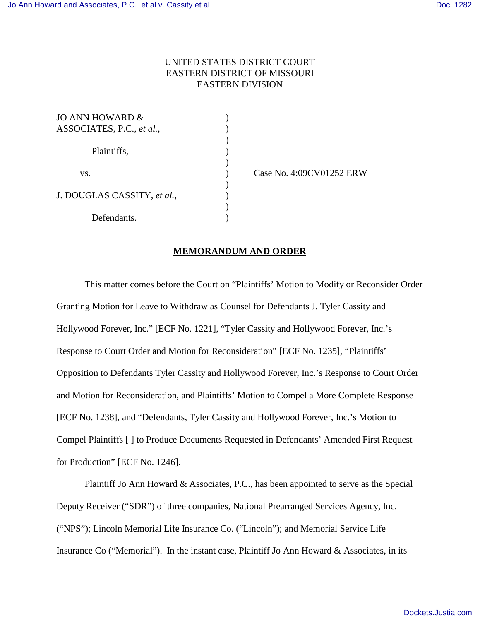# UNITED STATES DISTRICT COURT EASTERN DISTRICT OF MISSOURI EASTERN DIVISION

 $\mathcal{L}$ 

)

 $\mathcal{L}$ 

)

| JO ANN HOWARD &             |  |
|-----------------------------|--|
| ASSOCIATES, P.C., et al.,   |  |
|                             |  |
| Plaintiffs,                 |  |
|                             |  |
| VS.                         |  |
|                             |  |
| J. DOUGLAS CASSITY, et al., |  |
|                             |  |
| Defendants.                 |  |

) Case No. 4:09CV01252 ERW

#### **MEMORANDUM AND ORDER**

This matter comes before the Court on "Plaintiffs' Motion to Modify or Reconsider Order Granting Motion for Leave to Withdraw as Counsel for Defendants J. Tyler Cassity and Hollywood Forever, Inc." [ECF No. 1221], "Tyler Cassity and Hollywood Forever, Inc.'s Response to Court Order and Motion for Reconsideration" [ECF No. 1235], "Plaintiffs' Opposition to Defendants Tyler Cassity and Hollywood Forever, Inc.'s Response to Court Order and Motion for Reconsideration, and Plaintiffs' Motion to Compel a More Complete Response [ECF No. 1238], and "Defendants, Tyler Cassity and Hollywood Forever, Inc.'s Motion to Compel Plaintiffs [ ] to Produce Documents Requested in Defendants' Amended First Request for Production" [ECF No. 1246].

Plaintiff Jo Ann Howard & Associates, P.C., has been appointed to serve as the Special Deputy Receiver ("SDR") of three companies, National Prearranged Services Agency, Inc. ("NPS"); Lincoln Memorial Life Insurance Co. ("Lincoln"); and Memorial Service Life Insurance Co ("Memorial"). In the instant case, Plaintiff Jo Ann Howard & Associates, in its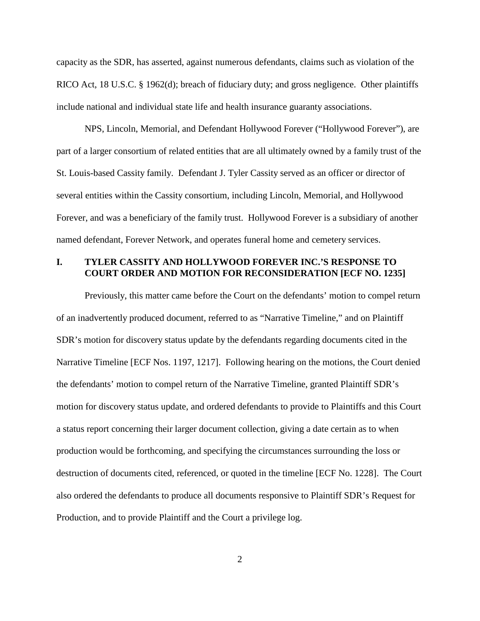capacity as the SDR, has asserted, against numerous defendants, claims such as violation of the RICO Act, 18 U.S.C. § 1962(d); breach of fiduciary duty; and gross negligence. Other plaintiffs include national and individual state life and health insurance guaranty associations.

NPS, Lincoln, Memorial, and Defendant Hollywood Forever ("Hollywood Forever"), are part of a larger consortium of related entities that are all ultimately owned by a family trust of the St. Louis-based Cassity family. Defendant J. Tyler Cassity served as an officer or director of several entities within the Cassity consortium, including Lincoln, Memorial, and Hollywood Forever, and was a beneficiary of the family trust. Hollywood Forever is a subsidiary of another named defendant, Forever Network, and operates funeral home and cemetery services.

## **I. TYLER CASSITY AND HOLLYWOOD FOREVER INC.'S RESPONSE TO COURT ORDER AND MOTION FOR RECONSIDERATION [ECF NO. 1235]**

Previously, this matter came before the Court on the defendants' motion to compel return of an inadvertently produced document, referred to as "Narrative Timeline," and on Plaintiff SDR's motion for discovery status update by the defendants regarding documents cited in the Narrative Timeline [ECF Nos. 1197, 1217]. Following hearing on the motions, the Court denied the defendants' motion to compel return of the Narrative Timeline, granted Plaintiff SDR's motion for discovery status update, and ordered defendants to provide to Plaintiffs and this Court a status report concerning their larger document collection, giving a date certain as to when production would be forthcoming, and specifying the circumstances surrounding the loss or destruction of documents cited, referenced, or quoted in the timeline [ECF No. 1228]. The Court also ordered the defendants to produce all documents responsive to Plaintiff SDR's Request for Production, and to provide Plaintiff and the Court a privilege log.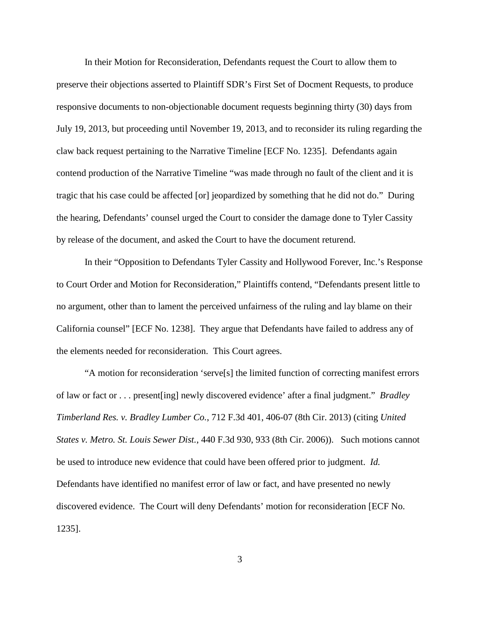In their Motion for Reconsideration, Defendants request the Court to allow them to preserve their objections asserted to Plaintiff SDR's First Set of Docment Requests, to produce responsive documents to non-objectionable document requests beginning thirty (30) days from July 19, 2013, but proceeding until November 19, 2013, and to reconsider its ruling regarding the claw back request pertaining to the Narrative Timeline [ECF No. 1235]. Defendants again contend production of the Narrative Timeline "was made through no fault of the client and it is tragic that his case could be affected [or] jeopardized by something that he did not do." During the hearing, Defendants' counsel urged the Court to consider the damage done to Tyler Cassity by release of the document, and asked the Court to have the document returend.

In their "Opposition to Defendants Tyler Cassity and Hollywood Forever, Inc.'s Response to Court Order and Motion for Reconsideration," Plaintiffs contend, "Defendants present little to no argument, other than to lament the perceived unfairness of the ruling and lay blame on their California counsel" [ECF No. 1238]. They argue that Defendants have failed to address any of the elements needed for reconsideration. This Court agrees.

"A motion for reconsideration 'serve[s] the limited function of correcting manifest errors of law or fact or . . . present[ing] newly discovered evidence' after a final judgment." *Bradley Timberland Res. v. Bradley Lumber Co.*, 712 F.3d 401, 406-07 (8th Cir. 2013) (citing *United States v. Metro. St. Louis Sewer Dist.*, 440 F.3d 930, 933 (8th Cir. 2006)). Such motions cannot be used to introduce new evidence that could have been offered prior to judgment. *Id.* Defendants have identified no manifest error of law or fact, and have presented no newly discovered evidence. The Court will deny Defendants' motion for reconsideration [ECF No. 1235].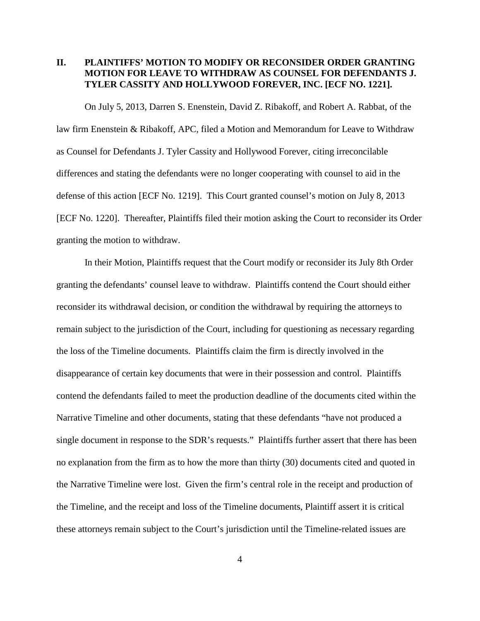# **II. PLAINTIFFS' MOTION TO MODIFY OR RECONSIDER ORDER GRANTING MOTION FOR LEAVE TO WITHDRAW AS COUNSEL FOR DEFENDANTS J. TYLER CASSITY AND HOLLYWOOD FOREVER, INC. [ECF NO. 1221].**

On July 5, 2013, Darren S. Enenstein, David Z. Ribakoff, and Robert A. Rabbat, of the law firm Enenstein & Ribakoff, APC, filed a Motion and Memorandum for Leave to Withdraw as Counsel for Defendants J. Tyler Cassity and Hollywood Forever, citing irreconcilable differences and stating the defendants were no longer cooperating with counsel to aid in the defense of this action [ECF No. 1219]. This Court granted counsel's motion on July 8, 2013 [ECF No. 1220]. Thereafter, Plaintiffs filed their motion asking the Court to reconsider its Order granting the motion to withdraw.

In their Motion, Plaintiffs request that the Court modify or reconsider its July 8th Order granting the defendants' counsel leave to withdraw. Plaintiffs contend the Court should either reconsider its withdrawal decision, or condition the withdrawal by requiring the attorneys to remain subject to the jurisdiction of the Court, including for questioning as necessary regarding the loss of the Timeline documents. Plaintiffs claim the firm is directly involved in the disappearance of certain key documents that were in their possession and control. Plaintiffs contend the defendants failed to meet the production deadline of the documents cited within the Narrative Timeline and other documents, stating that these defendants "have not produced a single document in response to the SDR's requests." Plaintiffs further assert that there has been no explanation from the firm as to how the more than thirty (30) documents cited and quoted in the Narrative Timeline were lost. Given the firm's central role in the receipt and production of the Timeline, and the receipt and loss of the Timeline documents, Plaintiff assert it is critical these attorneys remain subject to the Court's jurisdiction until the Timeline-related issues are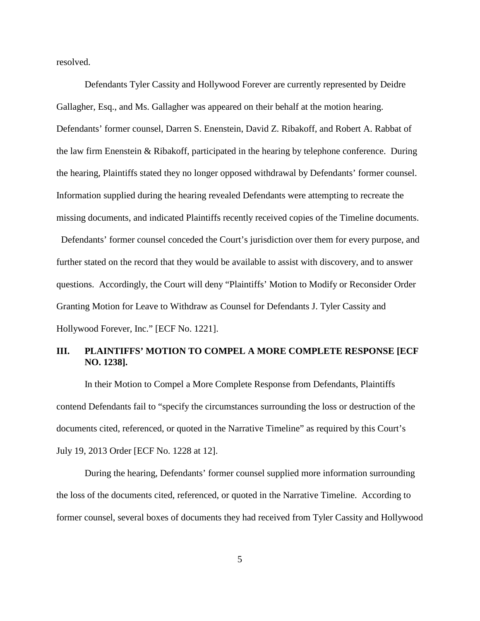resolved.

Defendants Tyler Cassity and Hollywood Forever are currently represented by Deidre Gallagher, Esq., and Ms. Gallagher was appeared on their behalf at the motion hearing. Defendants' former counsel, Darren S. Enenstein, David Z. Ribakoff, and Robert A. Rabbat of the law firm Enenstein & Ribakoff, participated in the hearing by telephone conference. During the hearing, Plaintiffs stated they no longer opposed withdrawal by Defendants' former counsel. Information supplied during the hearing revealed Defendants were attempting to recreate the missing documents, and indicated Plaintiffs recently received copies of the Timeline documents.

 Defendants' former counsel conceded the Court's jurisdiction over them for every purpose, and further stated on the record that they would be available to assist with discovery, and to answer questions. Accordingly, the Court will deny "Plaintiffs' Motion to Modify or Reconsider Order Granting Motion for Leave to Withdraw as Counsel for Defendants J. Tyler Cassity and Hollywood Forever, Inc." [ECF No. 1221].

# **III. PLAINTIFFS' MOTION TO COMPEL A MORE COMPLETE RESPONSE [ECF NO. 1238].**

In their Motion to Compel a More Complete Response from Defendants, Plaintiffs contend Defendants fail to "specify the circumstances surrounding the loss or destruction of the documents cited, referenced, or quoted in the Narrative Timeline" as required by this Court's July 19, 2013 Order [ECF No. 1228 at 12].

During the hearing, Defendants' former counsel supplied more information surrounding the loss of the documents cited, referenced, or quoted in the Narrative Timeline. According to former counsel, several boxes of documents they had received from Tyler Cassity and Hollywood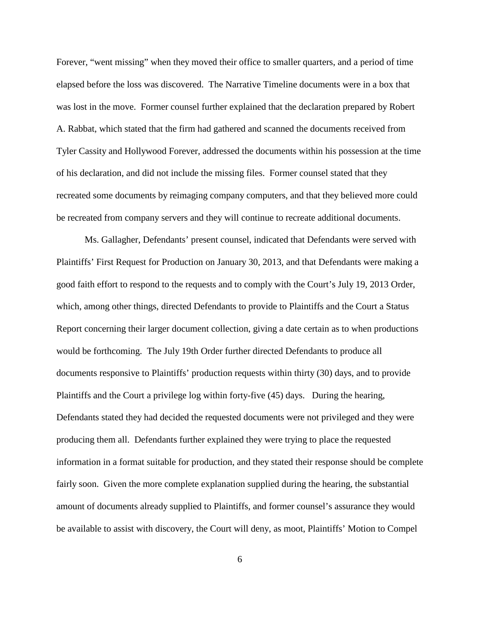Forever, "went missing" when they moved their office to smaller quarters, and a period of time elapsed before the loss was discovered. The Narrative Timeline documents were in a box that was lost in the move. Former counsel further explained that the declaration prepared by Robert A. Rabbat, which stated that the firm had gathered and scanned the documents received from Tyler Cassity and Hollywood Forever, addressed the documents within his possession at the time of his declaration, and did not include the missing files. Former counsel stated that they recreated some documents by reimaging company computers, and that they believed more could be recreated from company servers and they will continue to recreate additional documents.

Ms. Gallagher, Defendants' present counsel, indicated that Defendants were served with Plaintiffs' First Request for Production on January 30, 2013, and that Defendants were making a good faith effort to respond to the requests and to comply with the Court's July 19, 2013 Order, which, among other things, directed Defendants to provide to Plaintiffs and the Court a Status Report concerning their larger document collection, giving a date certain as to when productions would be forthcoming. The July 19th Order further directed Defendants to produce all documents responsive to Plaintiffs' production requests within thirty (30) days, and to provide Plaintiffs and the Court a privilege log within forty-five (45) days. During the hearing, Defendants stated they had decided the requested documents were not privileged and they were producing them all. Defendants further explained they were trying to place the requested information in a format suitable for production, and they stated their response should be complete fairly soon. Given the more complete explanation supplied during the hearing, the substantial amount of documents already supplied to Plaintiffs, and former counsel's assurance they would be available to assist with discovery, the Court will deny, as moot, Plaintiffs' Motion to Compel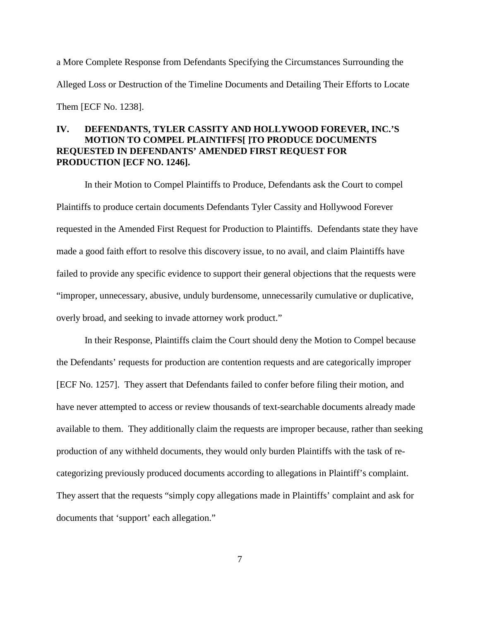a More Complete Response from Defendants Specifying the Circumstances Surrounding the Alleged Loss or Destruction of the Timeline Documents and Detailing Their Efforts to Locate Them [ECF No. 1238].

# **IV. DEFENDANTS, TYLER CASSITY AND HOLLYWOOD FOREVER, INC.'S MOTION TO COMPEL PLAINTIFFS[ ]TO PRODUCE DOCUMENTS REQUESTED IN DEFENDANTS' AMENDED FIRST REQUEST FOR PRODUCTION [ECF NO. 1246].**

In their Motion to Compel Plaintiffs to Produce, Defendants ask the Court to compel Plaintiffs to produce certain documents Defendants Tyler Cassity and Hollywood Forever requested in the Amended First Request for Production to Plaintiffs. Defendants state they have made a good faith effort to resolve this discovery issue, to no avail, and claim Plaintiffs have failed to provide any specific evidence to support their general objections that the requests were "improper, unnecessary, abusive, unduly burdensome, unnecessarily cumulative or duplicative, overly broad, and seeking to invade attorney work product."

In their Response, Plaintiffs claim the Court should deny the Motion to Compel because the Defendants' requests for production are contention requests and are categorically improper [ECF No. 1257]. They assert that Defendants failed to confer before filing their motion, and have never attempted to access or review thousands of text-searchable documents already made available to them. They additionally claim the requests are improper because, rather than seeking production of any withheld documents, they would only burden Plaintiffs with the task of recategorizing previously produced documents according to allegations in Plaintiff's complaint. They assert that the requests "simply copy allegations made in Plaintiffs' complaint and ask for documents that 'support' each allegation."

7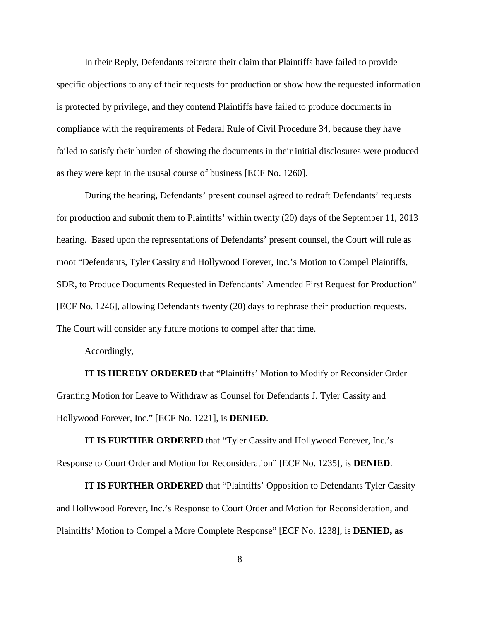In their Reply, Defendants reiterate their claim that Plaintiffs have failed to provide specific objections to any of their requests for production or show how the requested information is protected by privilege, and they contend Plaintiffs have failed to produce documents in compliance with the requirements of Federal Rule of Civil Procedure 34, because they have failed to satisfy their burden of showing the documents in their initial disclosures were produced as they were kept in the ususal course of business [ECF No. 1260].

During the hearing, Defendants' present counsel agreed to redraft Defendants' requests for production and submit them to Plaintiffs' within twenty (20) days of the September 11, 2013 hearing. Based upon the representations of Defendants' present counsel, the Court will rule as moot "Defendants, Tyler Cassity and Hollywood Forever, Inc.'s Motion to Compel Plaintiffs, SDR, to Produce Documents Requested in Defendants' Amended First Request for Production" [ECF No. 1246], allowing Defendants twenty (20) days to rephrase their production requests. The Court will consider any future motions to compel after that time.

Accordingly,

**IT IS HEREBY ORDERED** that "Plaintiffs' Motion to Modify or Reconsider Order Granting Motion for Leave to Withdraw as Counsel for Defendants J. Tyler Cassity and Hollywood Forever, Inc." [ECF No. 1221], is **DENIED**.

**IT IS FURTHER ORDERED** that "Tyler Cassity and Hollywood Forever, Inc.'s Response to Court Order and Motion for Reconsideration" [ECF No. 1235], is **DENIED**.

**IT IS FURTHER ORDERED** that "Plaintiffs' Opposition to Defendants Tyler Cassity and Hollywood Forever, Inc.'s Response to Court Order and Motion for Reconsideration, and Plaintiffs' Motion to Compel a More Complete Response" [ECF No. 1238], is **DENIED, as**